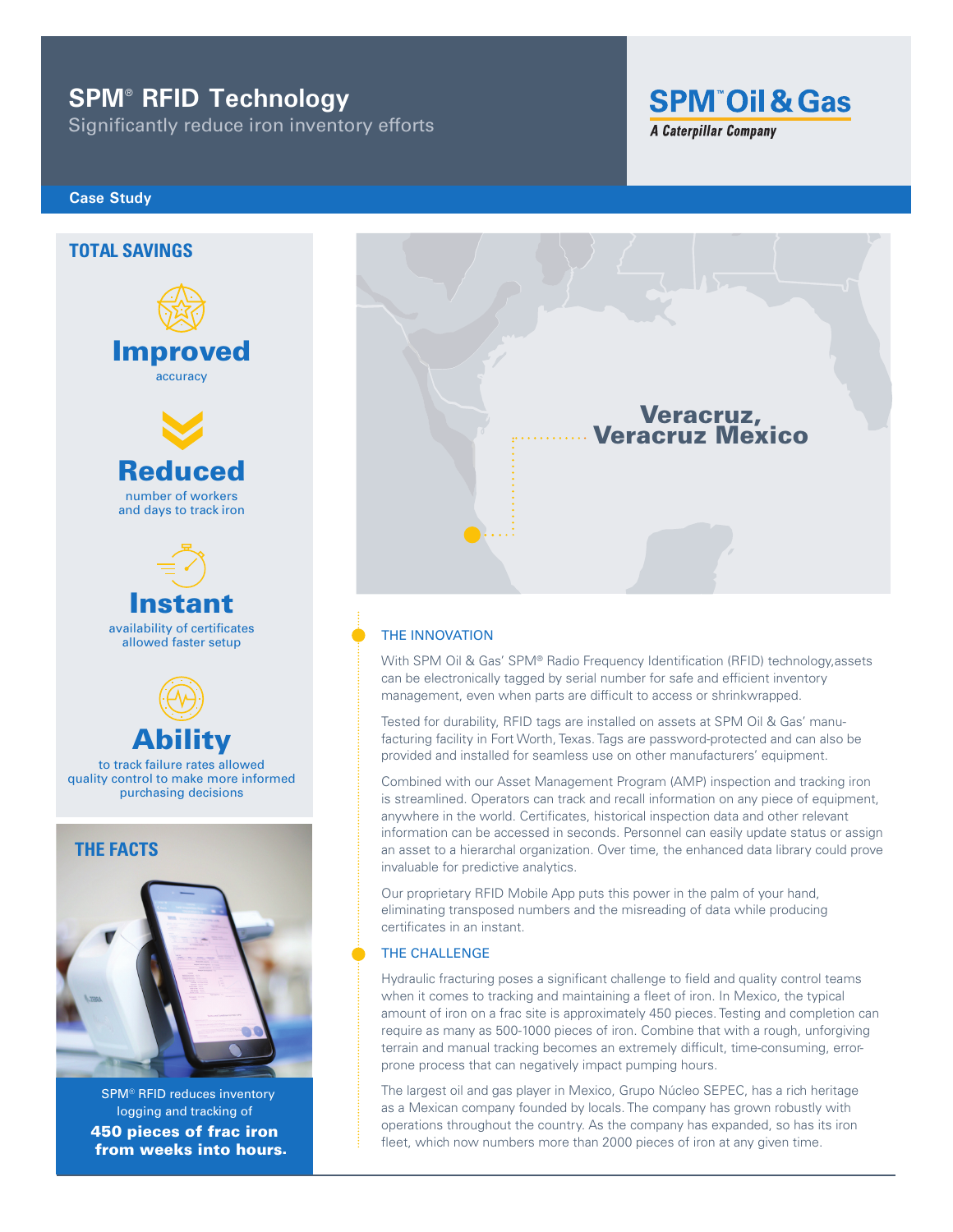# **SPM**®  **RFID Technology**

Significantly reduce iron inventory efforts

## **Case Study**



logging and tracking of 450 pieces of frac iron from weeks into hours. SPM® RFID reduces inventory



**SPM Oil & Gas** 

**A Caterpillar Company** 

#### THE INNOVATION

With SPM Oil & Gas' SPM® Radio Frequency Identification (RFID) technology,assets can be electronically tagged by serial number for safe and efficient inventory management, even when parts are difficult to access or shrinkwrapped.

Tested for durability, RFID tags are installed on assets at SPM Oil & Gas' manufacturing facility in Fort Worth, Texas. Tags are password-protected and can also be provided and installed for seamless use on other manufacturers' equipment.

Combined with our Asset Management Program (AMP) inspection and tracking iron is streamlined. Operators can track and recall information on any piece of equipment, anywhere in the world. Certificates, historical inspection data and other relevant information can be accessed in seconds. Personnel can easily update status or assign an asset to a hierarchal organization. Over time, the enhanced data library could prove invaluable for predictive analytics.

Our proprietary RFID Mobile App puts this power in the palm of your hand, eliminating transposed numbers and the misreading of data while producing certificates in an instant.

#### THE CHALLENGE

Hydraulic fracturing poses a significant challenge to field and quality control teams when it comes to tracking and maintaining a fleet of iron. In Mexico, the typical amount of iron on a frac site is approximately 450 pieces. Testing and completion can require as many as 500-1000 pieces of iron. Combine that with a rough, unforgiving terrain and manual tracking becomes an extremely difficult, time-consuming, errorprone process that can negatively impact pumping hours.

The largest oil and gas player in Mexico, Grupo Núcleo SEPEC, has a rich heritage as a Mexican company founded by locals. The company has grown robustly with operations throughout the country. As the company has expanded, so has its iron fleet, which now numbers more than 2000 pieces of iron at any given time.